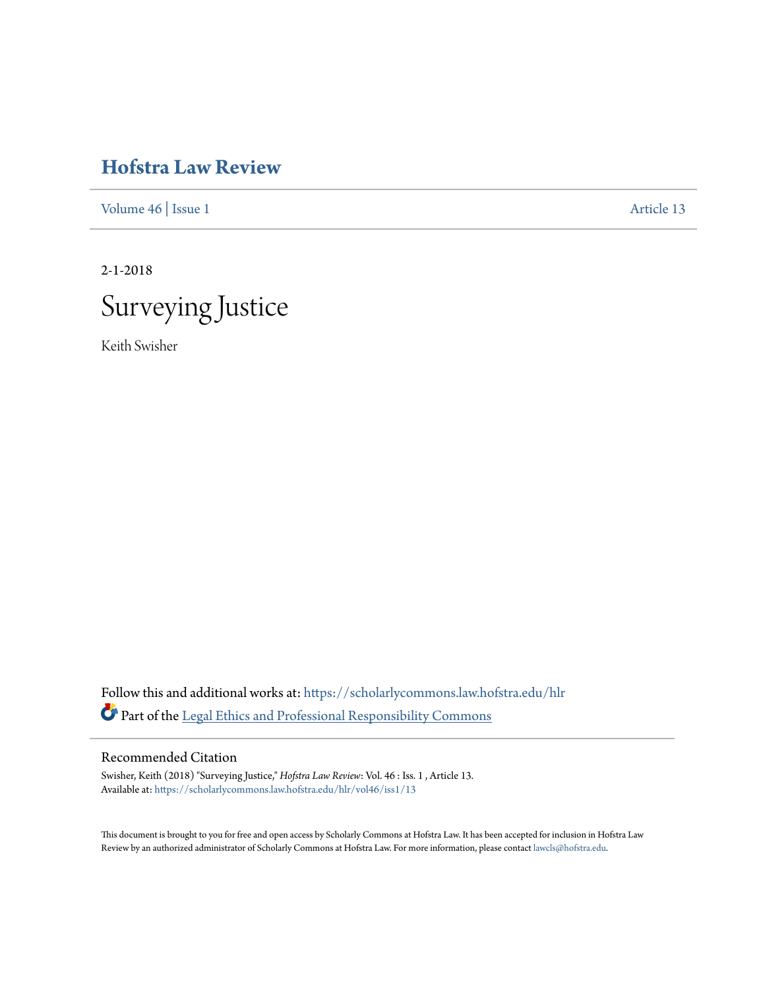# **[Hofstra Law Review](https://scholarlycommons.law.hofstra.edu/hlr?utm_source=scholarlycommons.law.hofstra.edu%2Fhlr%2Fvol46%2Fiss1%2F13&utm_medium=PDF&utm_campaign=PDFCoverPages)**

[Volume 46](https://scholarlycommons.law.hofstra.edu/hlr/vol46?utm_source=scholarlycommons.law.hofstra.edu%2Fhlr%2Fvol46%2Fiss1%2F13&utm_medium=PDF&utm_campaign=PDFCoverPages) | [Issue 1](https://scholarlycommons.law.hofstra.edu/hlr/vol46/iss1?utm_source=scholarlycommons.law.hofstra.edu%2Fhlr%2Fvol46%2Fiss1%2F13&utm_medium=PDF&utm_campaign=PDFCoverPages) [Article 13](https://scholarlycommons.law.hofstra.edu/hlr/vol46/iss1/13?utm_source=scholarlycommons.law.hofstra.edu%2Fhlr%2Fvol46%2Fiss1%2F13&utm_medium=PDF&utm_campaign=PDFCoverPages)

2-1-2018

# Surveying Justice

Keith Swisher

Follow this and additional works at: [https://scholarlycommons.law.hofstra.edu/hlr](https://scholarlycommons.law.hofstra.edu/hlr?utm_source=scholarlycommons.law.hofstra.edu%2Fhlr%2Fvol46%2Fiss1%2F13&utm_medium=PDF&utm_campaign=PDFCoverPages) Part of the [Legal Ethics and Professional Responsibility Commons](http://network.bepress.com/hgg/discipline/895?utm_source=scholarlycommons.law.hofstra.edu%2Fhlr%2Fvol46%2Fiss1%2F13&utm_medium=PDF&utm_campaign=PDFCoverPages)

# Recommended Citation

Swisher, Keith (2018) "Surveying Justice," *Hofstra Law Review*: Vol. 46 : Iss. 1 , Article 13. Available at: [https://scholarlycommons.law.hofstra.edu/hlr/vol46/iss1/13](https://scholarlycommons.law.hofstra.edu/hlr/vol46/iss1/13?utm_source=scholarlycommons.law.hofstra.edu%2Fhlr%2Fvol46%2Fiss1%2F13&utm_medium=PDF&utm_campaign=PDFCoverPages)

This document is brought to you for free and open access by Scholarly Commons at Hofstra Law. It has been accepted for inclusion in Hofstra Law Review by an authorized administrator of Scholarly Commons at Hofstra Law. For more information, please contact [lawcls@hofstra.edu](mailto:lawcls@hofstra.edu).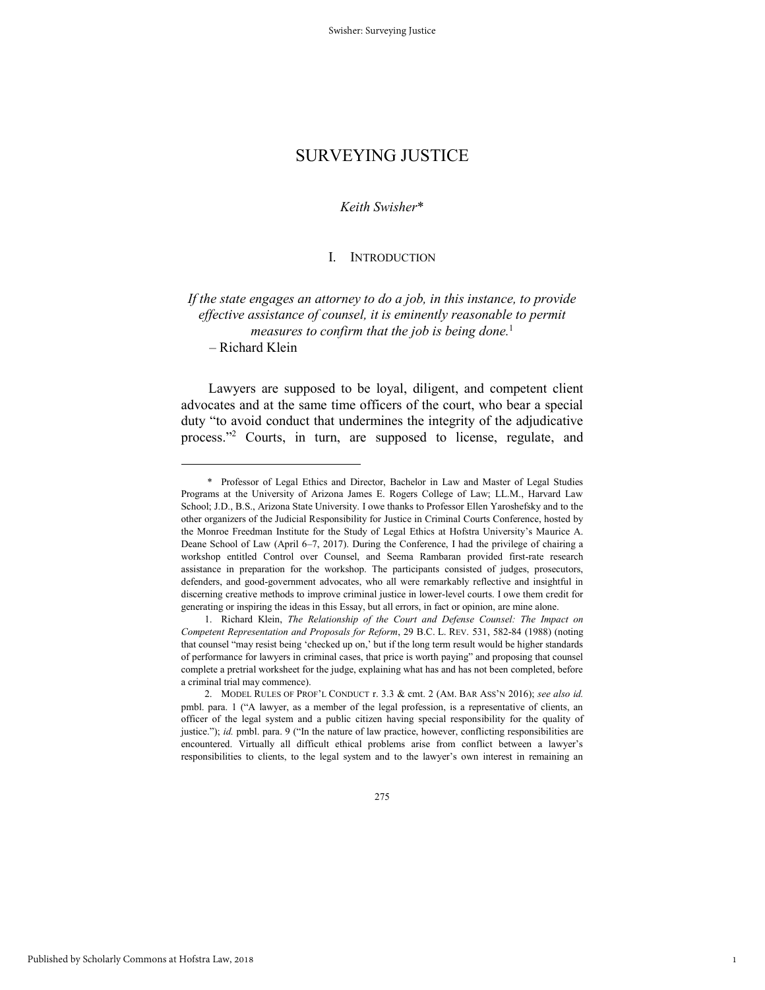#### *Keith Swisher*\*

#### I. INTRODUCTION

## *If the state engages an attorney to do a job, in this instance, to provide effective assistance of counsel, it is eminently reasonable to permit measures to confirm that the job is being done.*<sup>1</sup> – Richard Klein

Lawyers are supposed to be loyal, diligent, and competent client advocates and at the same time officers of the court, who bear a special duty "to avoid conduct that undermines the integrity of the adjudicative process." <sup>2</sup> Courts, in turn, are supposed to license, regulate, and

<sup>2.</sup> MODEL RULES OF PROF'L CONDUCT r. 3.3 & cmt. 2 (AM. BAR ASS'N 2016); *see also id.* pmbl. para. 1 ("A lawyer, as a member of the legal profession, is a representative of clients, an officer of the legal system and a public citizen having special responsibility for the quality of justice."); *id.* pmbl. para. 9 ("In the nature of law practice, however, conflicting responsibilities are encountered. Virtually all difficult ethical problems arise from conflict between a lawyer's responsibilities to clients, to the legal system and to the lawyer's own interest in remaining an



1

 <sup>\*</sup> Professor of Legal Ethics and Director, Bachelor in Law and Master of Legal Studies Programs at the University of Arizona James E. Rogers College of Law; LL.M., Harvard Law School; J.D., B.S., Arizona State University. I owe thanks to Professor Ellen Yaroshefsky and to the other organizers of the Judicial Responsibility for Justice in Criminal Courts Conference, hosted by the Monroe Freedman Institute for the Study of Legal Ethics at Hofstra University's Maurice A. Deane School of Law (April 6–7, 2017). During the Conference, I had the privilege of chairing a workshop entitled Control over Counsel, and Seema Rambaran provided first-rate research assistance in preparation for the workshop. The participants consisted of judges, prosecutors, defenders, and good-government advocates, who all were remarkably reflective and insightful in discerning creative methods to improve criminal justice in lower-level courts. I owe them credit for generating or inspiring the ideas in this Essay, but all errors, in fact or opinion, are mine alone.

<sup>1.</sup> Richard Klein, *The Relationship of the Court and Defense Counsel: The Impact on Competent Representation and Proposals for Reform*, 29 B.C. L. REV. 531, 582-84 (1988) (noting that counsel "may resist being 'checked up on,' but if the long term result would be higher standards of performance for lawyers in criminal cases, that price is worth paying" and proposing that counsel complete a pretrial worksheet for the judge, explaining what has and has not been completed, before a criminal trial may commence).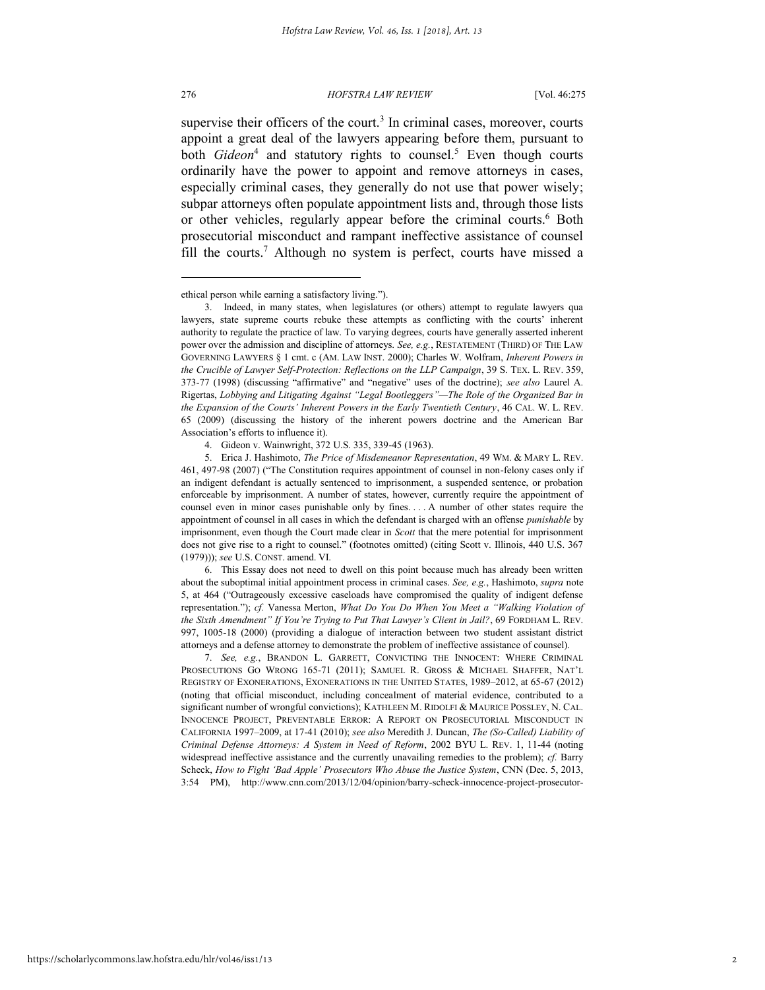#### 276 *HOFSTRA LAW REVIEW* [Vol. 46:275

<span id="page-2-0"></span>

supervise their officers of the court.<sup>3</sup> In criminal cases, moreover, courts appoint a great deal of the lawyers appearing before them, pursuant to both *Gideon*<sup>4</sup> and statutory rights to counsel.<sup>5</sup> Even though courts ordinarily have the power to appoint and remove attorneys in cases, especially criminal cases, they generally do not use that power wisely; subpar attorneys often populate appointment lists and, through those lists or other vehicles, regularly appear before the criminal courts.<sup>6</sup> Both prosecutorial misconduct and rampant ineffective assistance of counsel fill the courts.<sup>7</sup> Although no system is perfect, courts have missed a

ethical person while earning a satisfactory living.").

<sup>3.</sup> Indeed, in many states, when legislatures (or others) attempt to regulate lawyers qua lawyers, state supreme courts rebuke these attempts as conflicting with the courts' inherent authority to regulate the practice of law. To varying degrees, courts have generally asserted inherent power over the admission and discipline of attorneys. *See, e.g.*, RESTATEMENT (THIRD) OF THE LAW GOVERNING LAWYERS § 1 cmt. c (AM. LAW INST. 2000); Charles W. Wolfram, *Inherent Powers in the Crucible of Lawyer Self-Protection: Reflections on the LLP Campaign*, 39 S. TEX. L. REV. 359, 373-77 (1998) (discussing "affirmative" and "negative" uses of the doctrine); *see also* Laurel A. Rigertas, *Lobbying and Litigating Against "Legal Bootleggers"—The Role of the Organized Bar in the Expansion of the Courts' Inherent Powers in the Early Twentieth Century*, 46 CAL. W. L. REV. 65 (2009) (discussing the history of the inherent powers doctrine and the American Bar Association's efforts to influence it).

<sup>4.</sup> Gideon v. Wainwright, 372 U.S. 335, 339-45 (1963).

<sup>5.</sup> Erica J. Hashimoto, *The Price of Misdemeanor Representation*, 49 WM. & MARY L. REV. 461, 497-98 (2007) ("The Constitution requires appointment of counsel in non-felony cases only if an indigent defendant is actually sentenced to imprisonment, a suspended sentence, or probation enforceable by imprisonment. A number of states, however, currently require the appointment of counsel even in minor cases punishable only by fines. . . . A number of other states require the appointment of counsel in all cases in which the defendant is charged with an offense *punishable* by imprisonment, even though the Court made clear in *Scott* that the mere potential for imprisonment does not give rise to a right to counsel." (footnotes omitted) (citing Scott v. Illinois, 440 U.S. 367 (1979))); *see* U.S. CONST. amend. VI.

<sup>6.</sup> This Essay does not need to dwell on this point because much has already been written about the suboptimal initial appointment process in criminal cases. *See, e.g.*, Hashimoto, *supra* note [5](#page-2-0), at 464 ("Outrageously excessive caseloads have compromised the quality of indigent defense representation."); *cf.* Vanessa Merton, *What Do You Do When You Meet a "Walking Violation of the Sixth Amendment" If You're Trying to Put That Lawyer's Client in Jail?*, 69 FORDHAM L. REV. 997, 1005-18 (2000) (providing a dialogue of interaction between two student assistant district attorneys and a defense attorney to demonstrate the problem of ineffective assistance of counsel).

<sup>7.</sup> *See, e.g.*, BRANDON L. GARRETT, CONVICTING THE INNOCENT: WHERE CRIMINAL PROSECUTIONS GO WRONG 165-71 (2011); SAMUEL R. GROSS & MICHAEL SHAFFER, NAT'L REGISTRY OF EXONERATIONS, EXONERATIONS IN THE UNITED STATES, 1989–2012, at 65-67 (2012) (noting that official misconduct, including concealment of material evidence, contributed to a significant number of wrongful convictions); KATHLEEN M. RIDOLFI & MAURICE POSSLEY, N. CAL. INNOCENCE PROJECT, PREVENTABLE ERROR: A REPORT ON PROSECUTORIAL MISCONDUCT IN CALIFORNIA 1997–2009, at 17-41 (2010); *see also* Meredith J. Duncan, *The (So-Called) Liability of Criminal Defense Attorneys: A System in Need of Reform*, 2002 BYU L. REV. 1, 11-44 (noting widespread ineffective assistance and the currently unavailing remedies to the problem); *cf.* Barry Scheck, *How to Fight 'Bad Apple' Prosecutors Who Abuse the Justice System*, CNN (Dec. 5, 2013, 3:54 PM), http://www.cnn.com/2013/12/04/opinion/barry-scheck-innocence-project-prosecutor-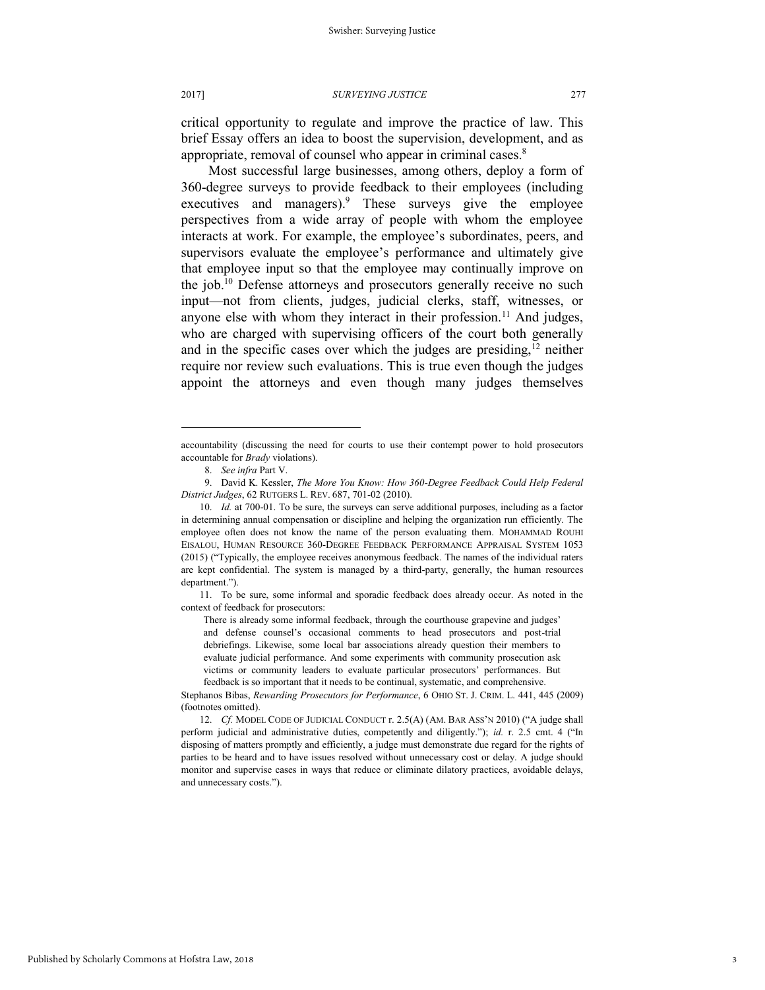critical opportunity to regulate and improve the practice of law. This brief Essay offers an idea to boost the supervision, development, and as appropriate, removal of counsel who appear in criminal cases.<sup>8</sup>

<span id="page-3-1"></span><span id="page-3-0"></span>Most successful large businesses, among others, deploy a form of 360-degree surveys to provide feedback to their employees (including executives and managers).<sup>9</sup> These surveys give the employee perspectives from a wide array of people with whom the employee interacts at work. For example, the employee's subordinates, peers, and supervisors evaluate the employee's performance and ultimately give that employee input so that the employee may continually improve on the job.<sup>10</sup> Defense attorneys and prosecutors generally receive no such input—not from clients, judges, judicial clerks, staff, witnesses, or anyone else with whom they interact in their profession.<sup>11</sup> And judges, who are charged with supervising officers of the court both generally and in the specific cases over which the judges are presiding, $12$  neither require nor review such evaluations. This is true even though the judges appoint the attorneys and even though many judges themselves

accountability (discussing the need for courts to use their contempt power to hold prosecutors accountable for *Brady* violations).

<span id="page-3-2"></span><sup>8.</sup> *See infra* Part V.

<sup>9.</sup> David K. Kessler, *The More You Know: How 360-Degree Feedback Could Help Federal District Judges*, 62 RUTGERS L. REV. 687, 701-02 (2010).

<sup>10.</sup> *Id.* at 700-01. To be sure, the surveys can serve additional purposes, including as a factor in determining annual compensation or discipline and helping the organization run efficiently. The employee often does not know the name of the person evaluating them. MOHAMMAD ROUHI EISALOU, HUMAN RESOURCE 360-DEGREE FEEDBACK PERFORMANCE APPRAISAL SYSTEM 1053 (2015) ("Typically, the employee receives anonymous feedback. The names of the individual raters are kept confidential. The system is managed by a third-party, generally, the human resources department.").

<sup>11.</sup> To be sure, some informal and sporadic feedback does already occur. As noted in the context of feedback for prosecutors:

There is already some informal feedback, through the courthouse grapevine and judges' and defense counsel's occasional comments to head prosecutors and post-trial debriefings. Likewise, some local bar associations already question their members to evaluate judicial performance. And some experiments with community prosecution ask victims or community leaders to evaluate particular prosecutors' performances. But feedback is so important that it needs to be continual, systematic, and comprehensive.

Stephanos Bibas, *Rewarding Prosecutors for Performance*, 6 OHIO ST. J. CRIM. L. 441, 445 (2009) (footnotes omitted).

<sup>12.</sup> *Cf.* MODEL CODE OF JUDICIAL CONDUCT r. 2.5(A) (AM. BAR ASS'N 2010) ("A judge shall perform judicial and administrative duties, competently and diligently."); *id.* r. 2.5 cmt. 4 ("In disposing of matters promptly and efficiently, a judge must demonstrate due regard for the rights of parties to be heard and to have issues resolved without unnecessary cost or delay. A judge should monitor and supervise cases in ways that reduce or eliminate dilatory practices, avoidable delays, and unnecessary costs.").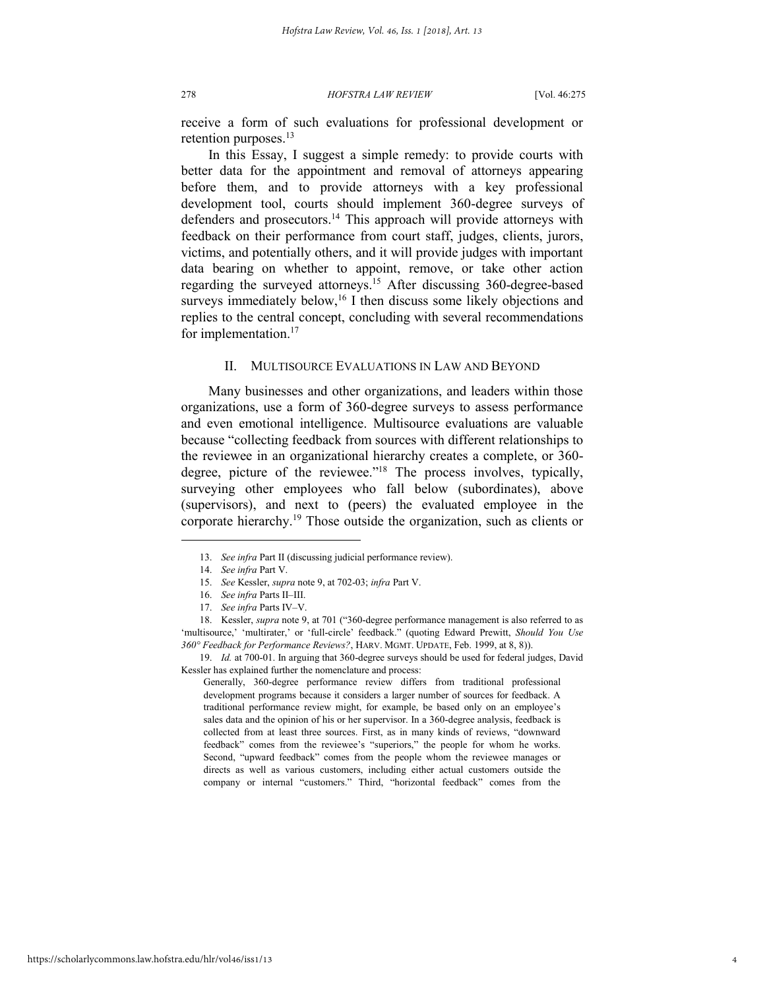278 *HOFSTRA LAW REVIEW* [Vol. 46:275

receive a form of such evaluations for professional development or retention purposes.<sup>13</sup>

In this Essay, I suggest a simple remedy: to provide courts with better data for the appointment and removal of attorneys appearing before them, and to provide attorneys with a key professional development tool, courts should implement 360-degree surveys of defenders and prosecutors.<sup>14</sup> This approach will provide attorneys with feedback on their performance from court staff, judges, clients, jurors, victims, and potentially others, and it will provide judges with important data bearing on whether to appoint, remove, or take other action regarding the surveyed attorneys.<sup>15</sup> After discussing 360-degree-based surveys immediately below,<sup>16</sup> I then discuss some likely objections and replies to the central concept, concluding with several recommendations for implementation.<sup>17</sup>

#### II. MULTISOURCE EVALUATIONS IN LAW AND BEYOND

Many businesses and other organizations, and leaders within those organizations, use a form of 360-degree surveys to assess performance and even emotional intelligence. Multisource evaluations are valuable because "collecting feedback from sources with different relationships to the reviewee in an organizational hierarchy creates a complete, or 360 degree, picture of the reviewee." <sup>18</sup> The process involves, typically, surveying other employees who fall below (subordinates), above (supervisors), and next to (peers) the evaluated employee in the corporate hierarchy.<sup>19</sup> Those outside the organization, such as clients or

l

Generally, 360-degree performance review differs from traditional professional development programs because it considers a larger number of sources for feedback. A traditional performance review might, for example, be based only on an employee's sales data and the opinion of his or her supervisor. In a 360-degree analysis, feedback is collected from at least three sources. First, as in many kinds of reviews, "downward feedback" comes from the reviewee's "superiors," the people for whom he works. Second, "upward feedback" comes from the people whom the reviewee manages or directs as well as various customers, including either actual customers outside the company or internal "customers." Third, "horizontal feedback" comes from the

<sup>13.</sup> *See infra* Part II (discussing judicial performance review).

<sup>14.</sup> *See infra* Part V.

<sup>15.</sup> *See* Kessler, *supra* not[e 9,](#page-3-0) at 702-03; *infra* Part V.

<sup>16.</sup> *See infra* Parts II–III.

<sup>17.</sup> *See infra* Parts IV–V.

<sup>18.</sup> Kessler, *supra* not[e 9](#page-3-0), at 701 ("360-degree performance management is also referred to as 'multisource,' 'multirater,' or 'full-circle' feedback." (quoting Edward Prewitt, *Should You Use 360° Feedback for Performance Reviews?*, HARV. MGMT. UPDATE, Feb. 1999, at 8, 8)).

<sup>19.</sup> *Id.* at 700-01. In arguing that 360-degree surveys should be used for federal judges, David Kessler has explained further the nomenclature and process: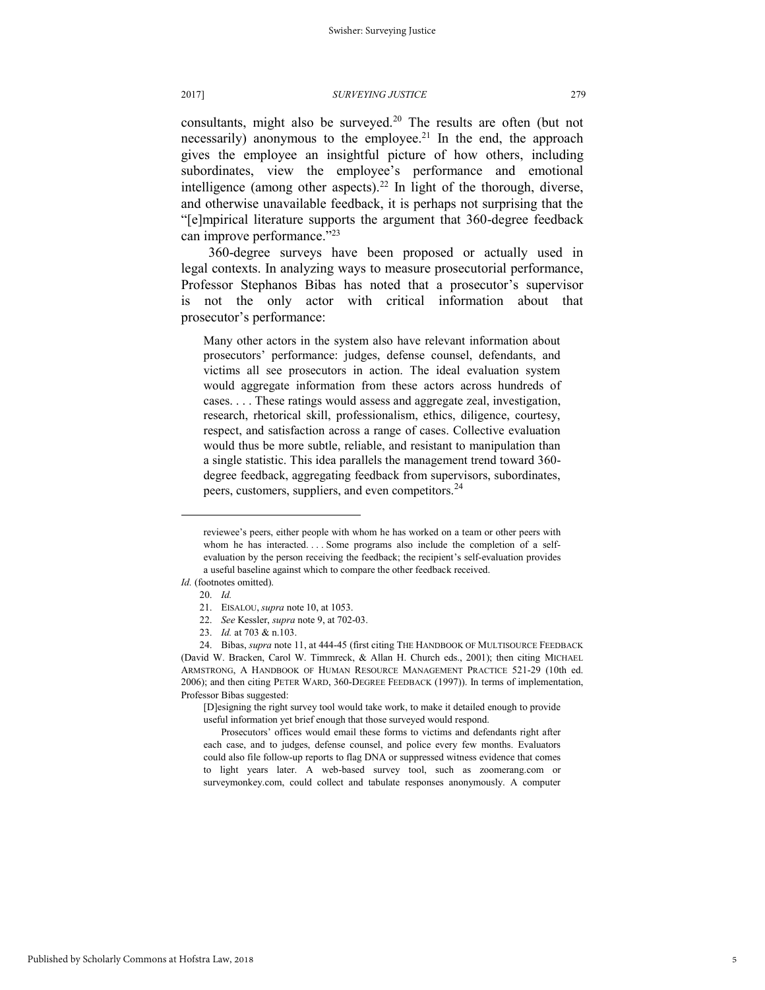consultants, might also be surveyed.<sup>20</sup> The results are often (but not necessarily) anonymous to the employee.<sup>21</sup> In the end, the approach gives the employee an insightful picture of how others, including subordinates, view the employee's performance and emotional intelligence (among other aspects).<sup>22</sup> In light of the thorough, diverse, and otherwise unavailable feedback, it is perhaps not surprising that the "[e]mpirical literature supports the argument that 360-degree feedback can improve performance."<sup>23</sup>

360-degree surveys have been proposed or actually used in legal contexts. In analyzing ways to measure prosecutorial performance, Professor Stephanos Bibas has noted that a prosecutor's supervisor is not the only actor with critical information about that prosecutor's performance:

Many other actors in the system also have relevant information about prosecutors' performance: judges, defense counsel, defendants, and victims all see prosecutors in action. The ideal evaluation system would aggregate information from these actors across hundreds of cases. . . . These ratings would assess and aggregate zeal, investigation, research, rhetorical skill, professionalism, ethics, diligence, courtesy, respect, and satisfaction across a range of cases. Collective evaluation would thus be more subtle, reliable, and resistant to manipulation than a single statistic. This idea parallels the management trend toward 360 degree feedback, aggregating feedback from supervisors, subordinates, peers, customers, suppliers, and even competitors.<sup>24</sup>

l

[D]esigning the right survey tool would take work, to make it detailed enough to provide useful information yet brief enough that those surveyed would respond.

 Prosecutors' offices would email these forms to victims and defendants right after each case, and to judges, defense counsel, and police every few months. Evaluators could also file follow-up reports to flag DNA or suppressed witness evidence that comes to light years later. A web-based survey tool, such as zoomerang.com or surveymonkey.com, could collect and tabulate responses anonymously. A computer

reviewee's peers, either people with whom he has worked on a team or other peers with whom he has interacted.... Some programs also include the completion of a selfevaluation by the person receiving the feedback; the recipient's self-evaluation provides a useful baseline against which to compare the other feedback received.

*Id.* (footnotes omitted).

<sup>20.</sup> *Id.*

<sup>21.</sup> EISALOU, *supra* note [10,](#page-3-1) at 1053.

<sup>22.</sup> *See* Kessler, *supra* not[e 9,](#page-3-0) at 702-03.

<sup>23.</sup> *Id.* at 703 & n.103.

<sup>24.</sup> Bibas, *supra* note 11, at 444-45 (first citing THE HANDBOOK OF MULTISOURCE FEEDBACK (David W. Bracken, Carol W. Timmreck, & Allan H. Church eds., 2001); then citing MICHAEL ARMSTRONG, A HANDBOOK OF HUMAN RESOURCE MANAGEMENT PRACTICE 521-29 (10th ed. 2006); and then citing PETER WARD, 360-DEGREE FEEDBACK (1997)). In terms of implementation, Professor Bibas suggested: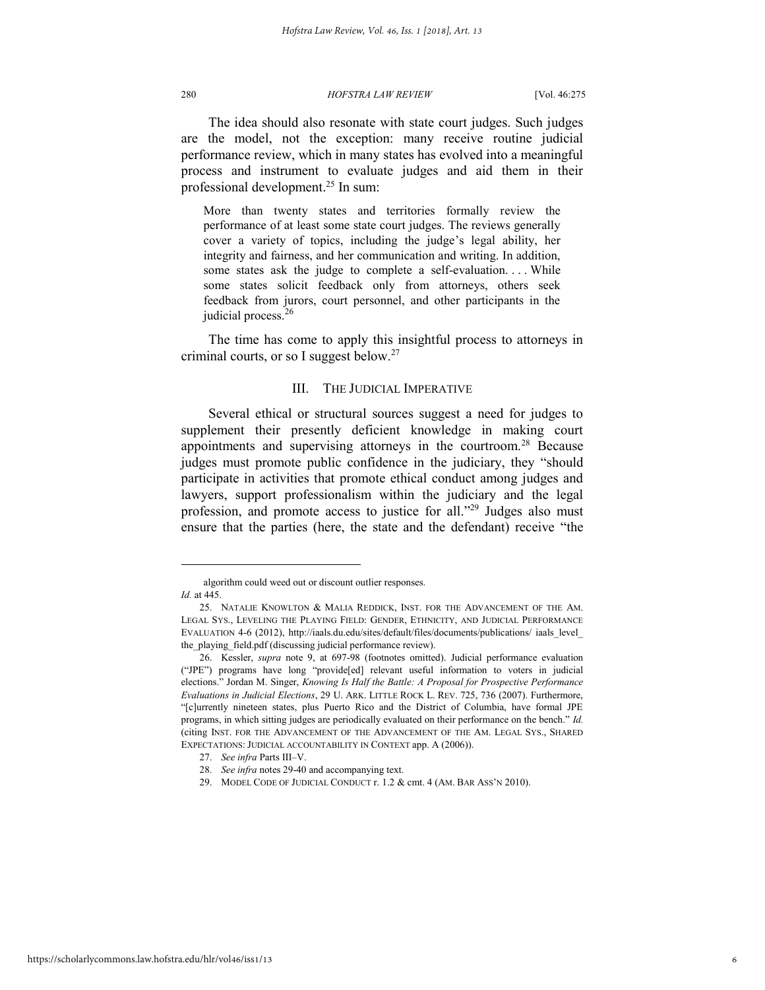280 *HOFSTRA LAW REVIEW* [Vol. 46:275

The idea should also resonate with state court judges. Such judges are the model, not the exception: many receive routine judicial performance review, which in many states has evolved into a meaningful process and instrument to evaluate judges and aid them in their professional development.<sup>25</sup> In sum:

More than twenty states and territories formally review the performance of at least some state court judges. The reviews generally cover a variety of topics, including the judge's legal ability, her integrity and fairness, and her communication and writing. In addition, some states ask the judge to complete a self-evaluation. . . . While some states solicit feedback only from attorneys, others seek feedback from jurors, court personnel, and other participants in the judicial process.<sup>26</sup>

The time has come to apply this insightful process to attorneys in criminal courts, or so I suggest below.<sup>27</sup>

#### <span id="page-6-0"></span>III. THE JUDICIAL IMPERATIVE

Several ethical or structural sources suggest a need for judges to supplement their presently deficient knowledge in making court appointments and supervising attorneys in the courtroom.<sup>28</sup> Because judges must promote public confidence in the judiciary, they "should participate in activities that promote ethical conduct among judges and lawyers, support professionalism within the judiciary and the legal profession, and promote access to justice for all."<sup>29</sup> Judges also must ensure that the parties (here, the state and the defendant) receive "the

algorithm could weed out or discount outlier responses. *Id.* at 445.

<sup>25.</sup> NATALIE KNOWLTON & MALIA REDDICK, INST. FOR THE ADVANCEMENT OF THE AM. LEGAL SYS., LEVELING THE PLAYING FIELD: GENDER, ETHNICITY, AND JUDICIAL PERFORMANCE EVALUATION 4-6 (2012), http://iaals.du.edu/sites/default/files/documents/publications/ iaals\_level\_ the\_playing\_field.pdf (discussing judicial performance review).

<sup>26.</sup> Kessler, *supra* note [9,](#page-3-0) at 697-98 (footnotes omitted). Judicial performance evaluation ("JPE") programs have long "provide[ed] relevant useful information to voters in judicial elections." Jordan M. Singer, *Knowing Is Half the Battle: A Proposal for Prospective Performance Evaluations in Judicial Elections*, 29 U. ARK. LITTLE ROCK L. REV. 725, 736 (2007). Furthermore, "[c]urrently nineteen states, plus Puerto Rico and the District of Columbia, have formal JPE programs, in which sitting judges are periodically evaluated on their performance on the bench." *Id.*  (citing INST. FOR THE ADVANCEMENT OF THE ADVANCEMENT OF THE AM. LEGAL SYS., SHARED EXPECTATIONS: JUDICIAL ACCOUNTABILITY IN CONTEXT app. A (2006)).

<sup>27.</sup> *See infra* Parts III–V.

<sup>28.</sup> *See infra* note[s 29](#page-6-0)[-40](#page-8-0) and accompanying text.

<sup>29.</sup> MODEL CODE OF JUDICIAL CONDUCT r. 1.2 & cmt. 4 (AM. BAR ASS'N 2010).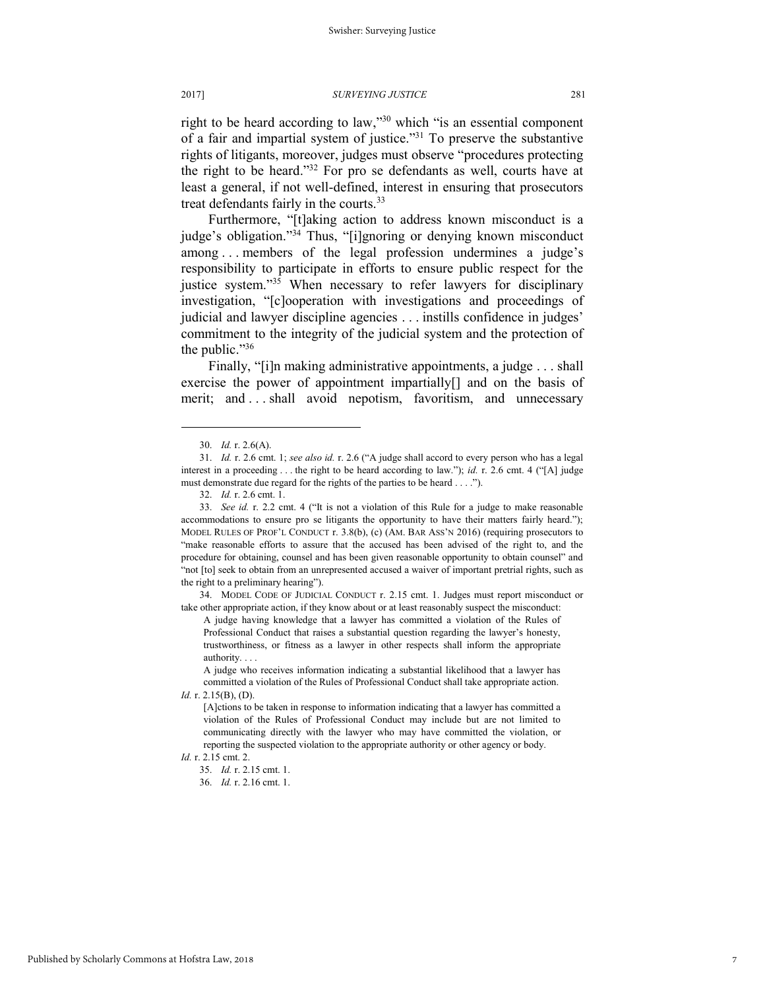right to be heard according to law," <sup>30</sup> which "is an essential component of a fair and impartial system of justice." <sup>31</sup> To preserve the substantive rights of litigants, moreover, judges must observe "procedures protecting the right to be heard." <sup>32</sup> For pro se defendants as well, courts have at least a general, if not well-defined, interest in ensuring that prosecutors treat defendants fairly in the courts.<sup>33</sup>

Furthermore, "[t]aking action to address known misconduct is a judge's obligation."<sup>34</sup> Thus, "[i]gnoring or denying known misconduct among . . . members of the legal profession undermines a judge's responsibility to participate in efforts to ensure public respect for the justice system."<sup>35</sup> When necessary to refer lawyers for disciplinary investigation, "[c]ooperation with investigations and proceedings of judicial and lawyer discipline agencies . . . instills confidence in judges' commitment to the integrity of the judicial system and the protection of the public." 36

Finally, "[i]n making administrative appointments, a judge . . . shall exercise the power of appointment impartially[] and on the basis of merit; and . . . shall avoid nepotism, favoritism, and unnecessary

l

34. MODEL CODE OF JUDICIAL CONDUCT r. 2.15 cmt. 1. Judges must report misconduct or take other appropriate action, if they know about or at least reasonably suspect the misconduct:

A judge having knowledge that a lawyer has committed a violation of the Rules of Professional Conduct that raises a substantial question regarding the lawyer's honesty, trustworthiness, or fitness as a lawyer in other respects shall inform the appropriate authority

A judge who receives information indicating a substantial likelihood that a lawyer has committed a violation of the Rules of Professional Conduct shall take appropriate action. *Id.* r. 2.15(B), (D).

# *Id.* r. 2.15 cmt. 2.

35. *Id.* r. 2.15 cmt. 1.

36. *Id.* r. 2.16 cmt. 1.

<sup>30.</sup> *Id.* r. 2.6(A).

<sup>31.</sup> *Id.* r. 2.6 cmt. 1; *see also id.* r. 2.6 ("A judge shall accord to every person who has a legal interest in a proceeding . . . the right to be heard according to law."); *id.* r. 2.6 cmt. 4 ("[A] judge must demonstrate due regard for the rights of the parties to be heard . . . .").

<sup>32.</sup> *Id.* r. 2.6 cmt. 1.

<sup>33.</sup> *See id.* r. 2.2 cmt. 4 ("It is not a violation of this Rule for a judge to make reasonable accommodations to ensure pro se litigants the opportunity to have their matters fairly heard."); MODEL RULES OF PROF'L CONDUCT r. 3.8(b), (c) (AM. BAR ASS'N 2016) (requiring prosecutors to "make reasonable efforts to assure that the accused has been advised of the right to, and the procedure for obtaining, counsel and has been given reasonable opportunity to obtain counsel" and "not [to] seek to obtain from an unrepresented accused a waiver of important pretrial rights, such as the right to a preliminary hearing").

<sup>[</sup>A]ctions to be taken in response to information indicating that a lawyer has committed a violation of the Rules of Professional Conduct may include but are not limited to communicating directly with the lawyer who may have committed the violation, or reporting the suspected violation to the appropriate authority or other agency or body.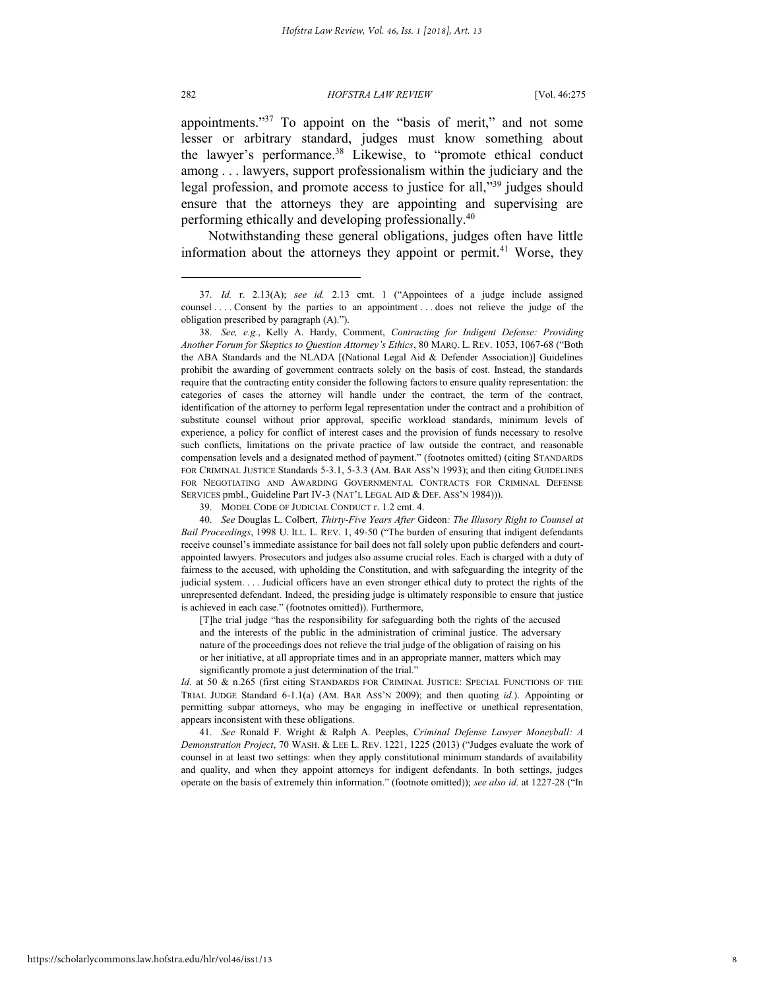282 *HOFSTRA LAW REVIEW* [Vol. 46:275

appointments." <sup>37</sup> To appoint on the "basis of merit," and not some lesser or arbitrary standard, judges must know something about the lawyer's performance.<sup>38</sup> Likewise, to "promote ethical conduct among . . . lawyers, support professionalism within the judiciary and the legal profession, and promote access to justice for all,"<sup>39</sup> judges should ensure that the attorneys they are appointing and supervising are performing ethically and developing professionally.<sup>40</sup>

<span id="page-8-0"></span>Notwithstanding these general obligations, judges often have little information about the attorneys they appoint or permit.<sup>41</sup> Worse, they

[T]he trial judge "has the responsibility for safeguarding both the rights of the accused and the interests of the public in the administration of criminal justice. The adversary nature of the proceedings does not relieve the trial judge of the obligation of raising on his or her initiative, at all appropriate times and in an appropriate manner, matters which may significantly promote a just determination of the trial."

*Id.* at 50 & n.265 (first citing STANDARDS FOR CRIMINAL JUSTICE: SPECIAL FUNCTIONS OF THE TRIAL JUDGE Standard 6-1.1(a) (AM. BAR ASS'N 2009); and then quoting *id.*). Appointing or permitting subpar attorneys, who may be engaging in ineffective or unethical representation, appears inconsistent with these obligations.

41. *See* Ronald F. Wright & Ralph A. Peeples, *Criminal Defense Lawyer Moneyball: A Demonstration Project*, 70 WASH. & LEE L. REV. 1221, 1225 (2013) ("Judges evaluate the work of counsel in at least two settings: when they apply constitutional minimum standards of availability and quality, and when they appoint attorneys for indigent defendants. In both settings, judges operate on the basis of extremely thin information." (footnote omitted)); *see also id.* at 1227-28 ("In

<sup>37.</sup> *Id.* r. 2.13(A); *see id.* 2.13 cmt. 1 ("Appointees of a judge include assigned counsel . . . . Consent by the parties to an appointment . . . does not relieve the judge of the obligation prescribed by paragraph (A).").

<sup>38.</sup> *See, e.g.*, Kelly A. Hardy, Comment, *Contracting for Indigent Defense: Providing Another Forum for Skeptics to Question Attorney's Ethics*, 80 MARQ. L. REV. 1053, 1067-68 ("Both the ABA Standards and the NLADA [(National Legal Aid & Defender Association)] Guidelines prohibit the awarding of government contracts solely on the basis of cost. Instead, the standards require that the contracting entity consider the following factors to ensure quality representation: the categories of cases the attorney will handle under the contract, the term of the contract, identification of the attorney to perform legal representation under the contract and a prohibition of substitute counsel without prior approval, specific workload standards, minimum levels of experience, a policy for conflict of interest cases and the provision of funds necessary to resolve such conflicts, limitations on the private practice of law outside the contract, and reasonable compensation levels and a designated method of payment." (footnotes omitted) (citing STANDARDS FOR CRIMINAL JUSTICE Standards 5-3.1, 5-3.3 (AM. BAR ASS'N 1993); and then citing GUIDELINES FOR NEGOTIATING AND AWARDING GOVERNMENTAL CONTRACTS FOR CRIMINAL DEFENSE SERVICES pmbl., Guideline Part IV-3 (NAT'L LEGAL AID & DEF. ASS'N 1984))).

<sup>39.</sup> MODEL CODE OF JUDICIAL CONDUCT r. 1.2 cmt. 4.

<sup>40.</sup> *See* Douglas L. Colbert, *Thirty-Five Years After* Gideon*: The Illusory Right to Counsel at Bail Proceedings*, 1998 U. ILL. L. REV. 1, 49-50 ("The burden of ensuring that indigent defendants receive counsel's immediate assistance for bail does not fall solely upon public defenders and courtappointed lawyers. Prosecutors and judges also assume crucial roles. Each is charged with a duty of fairness to the accused, with upholding the Constitution, and with safeguarding the integrity of the judicial system. . . . Judicial officers have an even stronger ethical duty to protect the rights of the unrepresented defendant. Indeed, the presiding judge is ultimately responsible to ensure that justice is achieved in each case." (footnotes omitted)). Furthermore,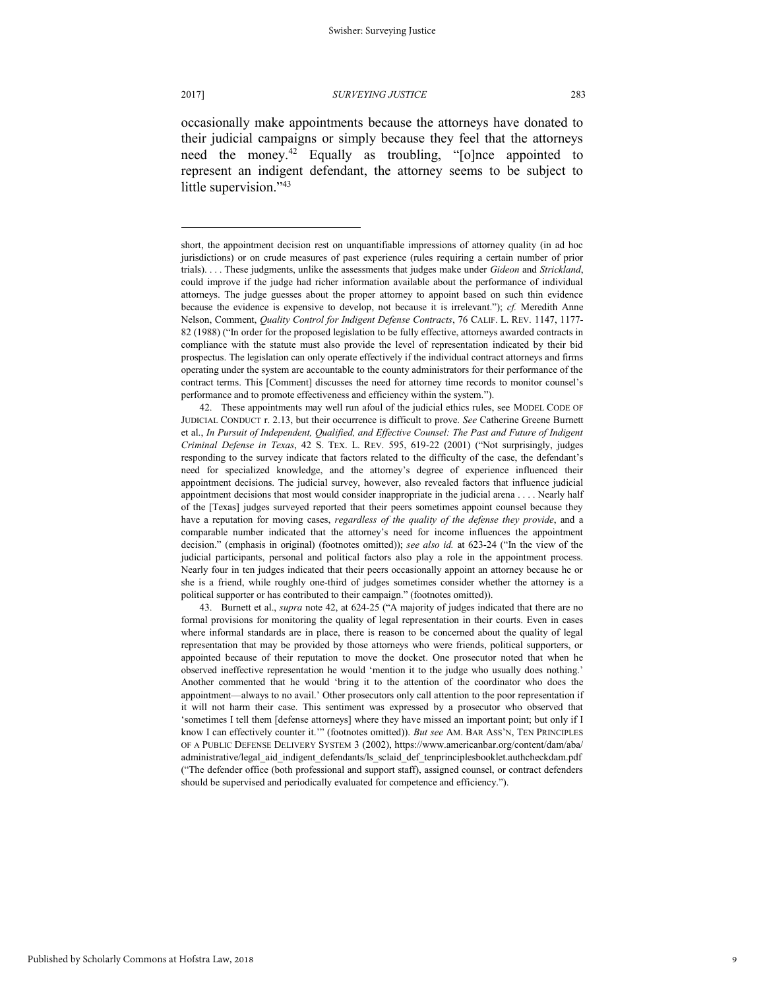little supervision."<sup>43</sup>

<span id="page-9-0"></span>occasionally make appointments because the attorneys have donated to their judicial campaigns or simply because they feel that the attorneys need the money.<sup>42</sup> Equally as troubling, "[o]nce appointed to represent an indigent defendant, the attorney seems to be subject to

42. These appointments may well run afoul of the judicial ethics rules, see MODEL CODE OF JUDICIAL CONDUCT r. 2.13, but their occurrence is difficult to prove. *See* Catherine Greene Burnett et al., *In Pursuit of Independent, Qualified, and Effective Counsel: The Past and Future of Indigent Criminal Defense in Texas*, 42 S. TEX. L. REV. 595, 619-22 (2001) ("Not surprisingly, judges responding to the survey indicate that factors related to the difficulty of the case, the defendant's need for specialized knowledge, and the attorney's degree of experience influenced their appointment decisions. The judicial survey, however, also revealed factors that influence judicial appointment decisions that most would consider inappropriate in the judicial arena . . . . Nearly half of the [Texas] judges surveyed reported that their peers sometimes appoint counsel because they have a reputation for moving cases, *regardless of the quality of the defense they provide*, and a comparable number indicated that the attorney's need for income influences the appointment decision." (emphasis in original) (footnotes omitted)); *see also id.* at 623-24 ("In the view of the judicial participants, personal and political factors also play a role in the appointment process. Nearly four in ten judges indicated that their peers occasionally appoint an attorney because he or she is a friend, while roughly one-third of judges sometimes consider whether the attorney is a political supporter or has contributed to their campaign." (footnotes omitted)).

43. Burnett et al., *supra* not[e 42,](#page-9-0) at 624-25 ("A majority of judges indicated that there are no formal provisions for monitoring the quality of legal representation in their courts. Even in cases where informal standards are in place, there is reason to be concerned about the quality of legal representation that may be provided by those attorneys who were friends, political supporters, or appointed because of their reputation to move the docket. One prosecutor noted that when he observed ineffective representation he would 'mention it to the judge who usually does nothing.' Another commented that he would 'bring it to the attention of the coordinator who does the appointment—always to no avail.' Other prosecutors only call attention to the poor representation if it will not harm their case. This sentiment was expressed by a prosecutor who observed that 'sometimes I tell them [defense attorneys] where they have missed an important point; but only if I know I can effectively counter it.'" (footnotes omitted)). *But see* AM. BAR ASS'N, TEN PRINCIPLES OF A PUBLIC DEFENSE DELIVERY SYSTEM 3 (2002), https://www.americanbar.org/content/dam/aba/ administrative/legal\_aid\_indigent\_defendants/ls\_sclaid\_def\_tenprinciplesbooklet.authcheckdam.pdf ("The defender office (both professional and support staff), assigned counsel, or contract defenders should be supervised and periodically evaluated for competence and efficiency.").

short, the appointment decision rest on unquantifiable impressions of attorney quality (in ad hoc jurisdictions) or on crude measures of past experience (rules requiring a certain number of prior trials). . . . These judgments, unlike the assessments that judges make under *Gideon* and *Strickland*, could improve if the judge had richer information available about the performance of individual attorneys. The judge guesses about the proper attorney to appoint based on such thin evidence because the evidence is expensive to develop, not because it is irrelevant."); *cf.* Meredith Anne Nelson, Comment, *Quality Control for Indigent Defense Contracts*, 76 CALIF. L. REV. 1147, 1177- 82 (1988) ("In order for the proposed legislation to be fully effective, attorneys awarded contracts in compliance with the statute must also provide the level of representation indicated by their bid prospectus. The legislation can only operate effectively if the individual contract attorneys and firms operating under the system are accountable to the county administrators for their performance of the contract terms. This [Comment] discusses the need for attorney time records to monitor counsel's performance and to promote effectiveness and efficiency within the system.").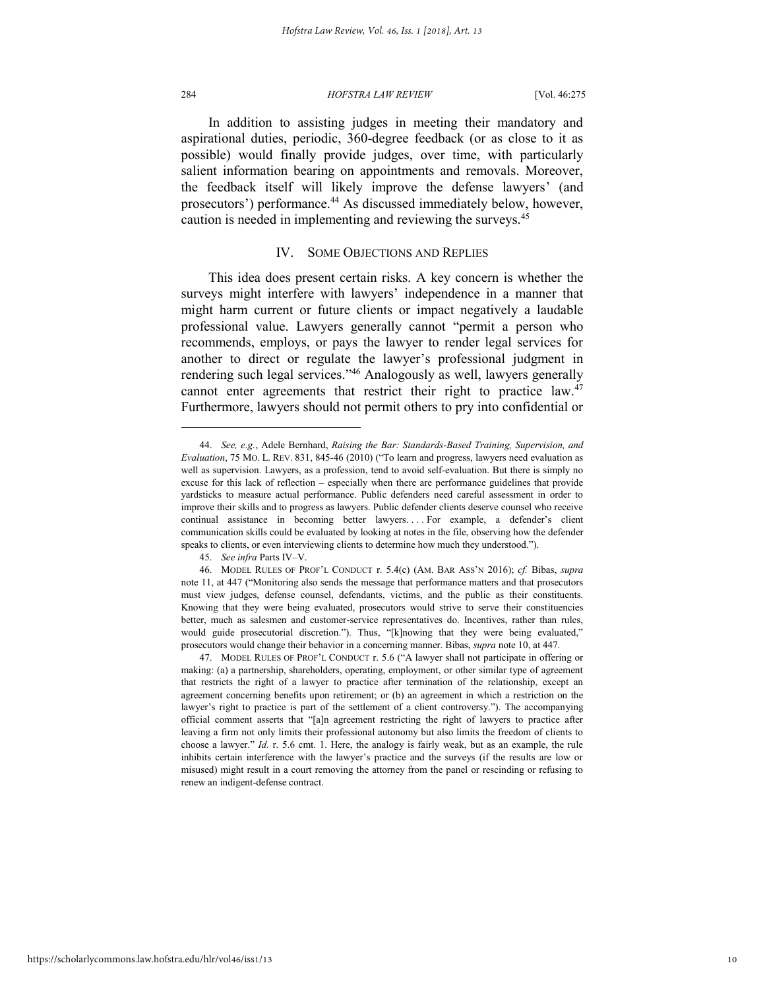284 *HOFSTRA LAW REVIEW* [Vol. 46:275

In addition to assisting judges in meeting their mandatory and aspirational duties, periodic, 360-degree feedback (or as close to it as possible) would finally provide judges, over time, with particularly salient information bearing on appointments and removals. Moreover, the feedback itself will likely improve the defense lawyers' (and prosecutors') performance.<sup>44</sup> As discussed immediately below, however, caution is needed in implementing and reviewing the surveys.<sup>45</sup>

#### IV. SOME OBJECTIONS AND REPLIES

This idea does present certain risks. A key concern is whether the surveys might interfere with lawyers' independence in a manner that might harm current or future clients or impact negatively a laudable professional value. Lawyers generally cannot "permit a person who recommends, employs, or pays the lawyer to render legal services for another to direct or regulate the lawyer's professional judgment in rendering such legal services."<sup>46</sup> Analogously as well, lawyers generally cannot enter agreements that restrict their right to practice law.<sup>47</sup> Furthermore, lawyers should not permit others to pry into confidential or

<sup>44.</sup> *See, e.g.*, Adele Bernhard, *Raising the Bar: Standards-Based Training, Supervision, and Evaluation*, 75 MO. L. REV. 831, 845-46 (2010) ("To learn and progress, lawyers need evaluation as well as supervision. Lawyers, as a profession, tend to avoid self-evaluation. But there is simply no excuse for this lack of reflection – especially when there are performance guidelines that provide yardsticks to measure actual performance. Public defenders need careful assessment in order to improve their skills and to progress as lawyers. Public defender clients deserve counsel who receive continual assistance in becoming better lawyers. . . . For example, a defender's client communication skills could be evaluated by looking at notes in the file, observing how the defender speaks to clients, or even interviewing clients to determine how much they understood.").

<sup>45.</sup> *See infra* Parts IV–V.

<sup>46.</sup> MODEL RULES OF PROF'L CONDUCT r. 5.4(c) (AM. BAR ASS'N 2016); *cf.* Bibas, *supra* note [11](#page-3-2), at 447 ("Monitoring also sends the message that performance matters and that prosecutors must view judges, defense counsel, defendants, victims, and the public as their constituents. Knowing that they were being evaluated, prosecutors would strive to serve their constituencies better, much as salesmen and customer-service representatives do. Incentives, rather than rules, would guide prosecutorial discretion."). Thus, "[k]nowing that they were being evaluated," prosecutors would change their behavior in a concerning manner. Bibas, *supra* note 10, at 447*.*

<sup>47.</sup> MODEL RULES OF PROF'L CONDUCT r. 5.6 ("A lawyer shall not participate in offering or making: (a) a partnership, shareholders, operating, employment, or other similar type of agreement that restricts the right of a lawyer to practice after termination of the relationship, except an agreement concerning benefits upon retirement; or (b) an agreement in which a restriction on the lawyer's right to practice is part of the settlement of a client controversy."). The accompanying official comment asserts that "[a]n agreement restricting the right of lawyers to practice after leaving a firm not only limits their professional autonomy but also limits the freedom of clients to choose a lawyer." *Id.* r. 5.6 cmt. 1. Here, the analogy is fairly weak, but as an example, the rule inhibits certain interference with the lawyer's practice and the surveys (if the results are low or misused) might result in a court removing the attorney from the panel or rescinding or refusing to renew an indigent-defense contract.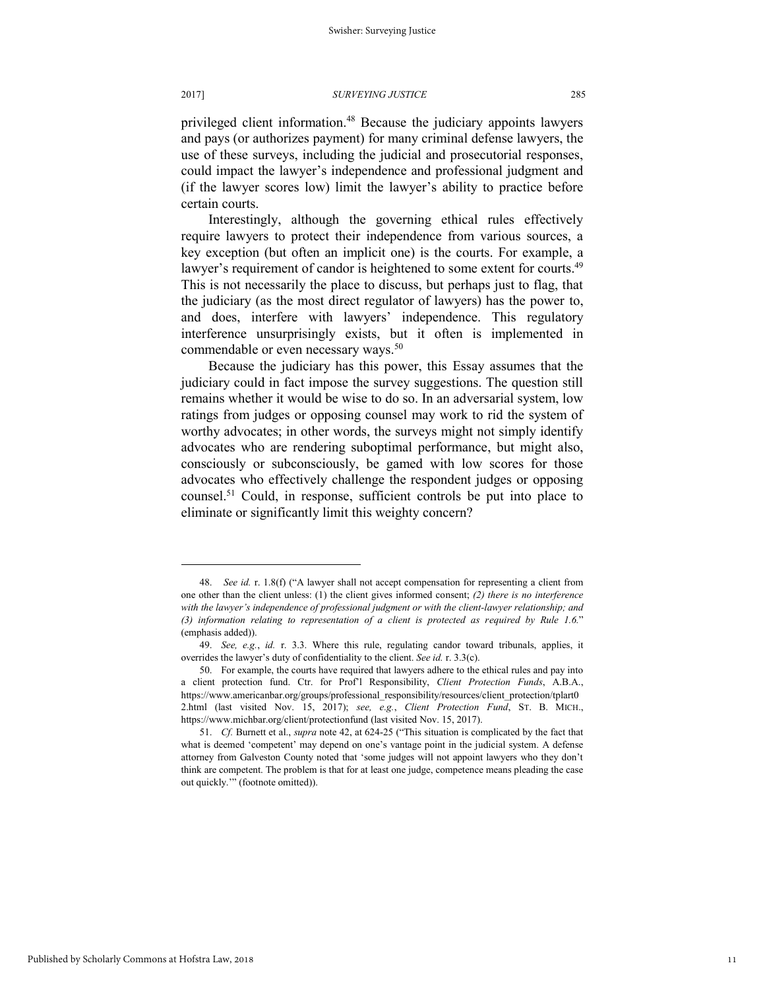2017] *SURVEYING JUSTICE* 285

and pays (or authorizes payment) for many criminal defense lawyers, the use of these surveys, including the judicial and prosecutorial responses, could impact the lawyer's independence and professional judgment and (if the lawyer scores low) limit the lawyer's ability to practice before certain courts.

Interestingly, although the governing ethical rules effectively require lawyers to protect their independence from various sources, a key exception (but often an implicit one) is the courts. For example, a lawyer's requirement of candor is heightened to some extent for courts.<sup>49</sup> This is not necessarily the place to discuss, but perhaps just to flag, that the judiciary (as the most direct regulator of lawyers) has the power to, and does, interfere with lawyers' independence. This regulatory interference unsurprisingly exists, but it often is implemented in commendable or even necessary ways.<sup>50</sup>

Because the judiciary has this power, this Essay assumes that the judiciary could in fact impose the survey suggestions. The question still remains whether it would be wise to do so. In an adversarial system, low ratings from judges or opposing counsel may work to rid the system of worthy advocates; in other words, the surveys might not simply identify advocates who are rendering suboptimal performance, but might also, consciously or subconsciously, be gamed with low scores for those advocates who effectively challenge the respondent judges or opposing counsel.<sup>51</sup> Could, in response, sufficient controls be put into place to eliminate or significantly limit this weighty concern?

<sup>48.</sup> *See id.* r. 1.8(f) ("A lawyer shall not accept compensation for representing a client from one other than the client unless: (1) the client gives informed consent; *(2) there is no interference with the lawyer's independence of professional judgment or with the client-lawyer relationship; and (3) information relating to representation of a client is protected as required by Rule 1.6.*" (emphasis added)).

<sup>49.</sup> *See, e.g.*, *id.* r. 3.3. Where this rule, regulating candor toward tribunals, applies, it overrides the lawyer's duty of confidentiality to the client. *See id.* r. 3.3(c).

<sup>50.</sup> For example, the courts have required that lawyers adhere to the ethical rules and pay into a client protection fund. Ctr. for Prof'l Responsibility, *Client Protection Funds*, A.B.A., https://www.americanbar.org/groups/professional\_responsibility/resources/client\_protection/tplart0 2.html (last visited Nov. 15, 2017); *see, e.g.*, *Client Protection Fund*, ST. B. MICH., https://www.michbar.org/client/protectionfund (last visited Nov. 15, 2017).

<sup>51.</sup> *Cf.* Burnett et al., *supra* not[e 42,](#page-9-0) at 624-25 ("This situation is complicated by the fact that what is deemed 'competent' may depend on one's vantage point in the judicial system. A defense attorney from Galveston County noted that 'some judges will not appoint lawyers who they don't think are competent. The problem is that for at least one judge, competence means pleading the case out quickly.'" (footnote omitted)).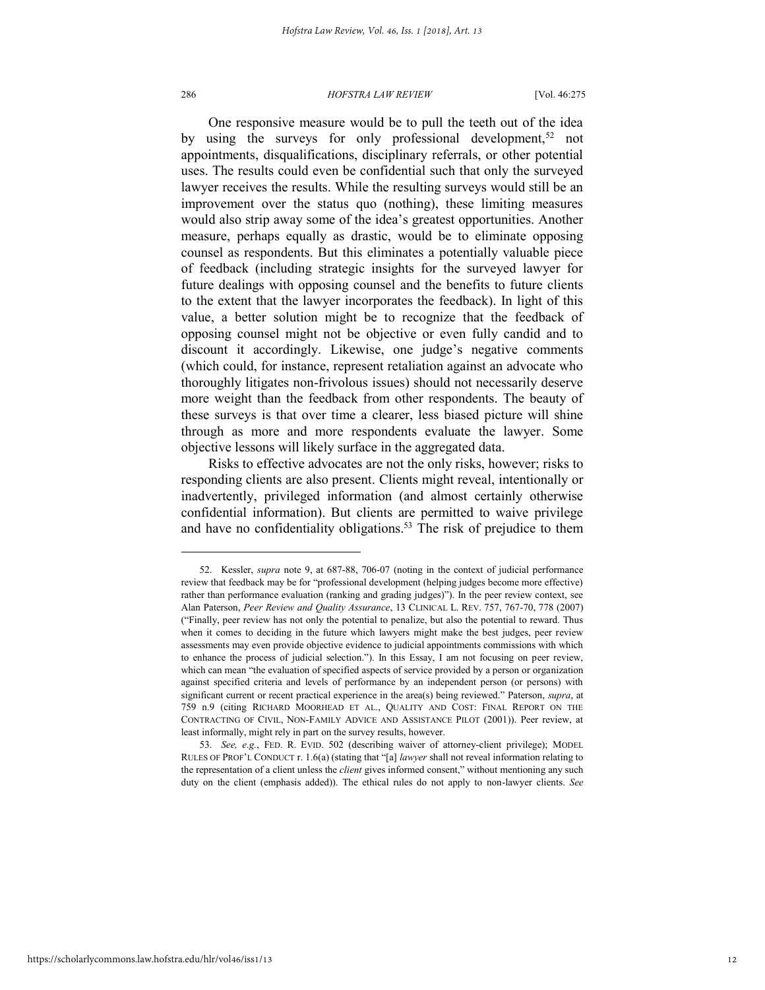#### 286 *HOFSTRA LAW REVIEW* [Vol. 46:275

One responsive measure would be to pull the teeth out of the idea by using the surveys for only professional development,<sup>52</sup> not appointments, disqualifications, disciplinary referrals, or other potential uses. The results could even be confidential such that only the surveyed lawyer receives the results. While the resulting surveys would still be an improvement over the status quo (nothing), these limiting measures would also strip away some of the idea's greatest opportunities. Another measure, perhaps equally as drastic, would be to eliminate opposing counsel as respondents. But this eliminates a potentially valuable piece of feedback (including strategic insights for the surveyed lawyer for future dealings with opposing counsel and the benefits to future clients to the extent that the lawyer incorporates the feedback). In light of this value, a better solution might be to recognize that the feedback of opposing counsel might not be objective or even fully candid and to discount it accordingly. Likewise, one judge's negative comments (which could, for instance, represent retaliation against an advocate who thoroughly litigates non-frivolous issues) should not necessarily deserve more weight than the feedback from other respondents. The beauty of these surveys is that over time a clearer, less biased picture will shine through as more and more respondents evaluate the lawyer. Some objective lessons will likely surface in the aggregated data.

Risks to effective advocates are not the only risks, however; risks to responding clients are also present. Clients might reveal, intentionally or inadvertently, privileged information (and almost certainly otherwise confidential information). But clients are permitted to waive privilege and have no confidentiality obligations.<sup>53</sup> The risk of prejudice to them

<sup>52.</sup> Kessler, *supra* note [9,](#page-3-0) at 687-88, 706-07 (noting in the context of judicial performance review that feedback may be for "professional development (helping judges become more effective) rather than performance evaluation (ranking and grading judges)"). In the peer review context, see Alan Paterson, *Peer Review and Quality Assurance*, 13 CLINICAL L. REV. 757, 767-70, 778 (2007) ("Finally, peer review has not only the potential to penalize, but also the potential to reward. Thus when it comes to deciding in the future which lawyers might make the best judges, peer review assessments may even provide objective evidence to judicial appointments commissions with which to enhance the process of judicial selection."). In this Essay, I am not focusing on peer review, which can mean "the evaluation of specified aspects of service provided by a person or organization against specified criteria and levels of performance by an independent person (or persons) with significant current or recent practical experience in the area(s) being reviewed." Paterson, *supra*, at 759 n.9 (citing RICHARD MOORHEAD ET AL., QUALITY AND COST: FINAL REPORT ON THE CONTRACTING OF CIVIL, NON-FAMILY ADVICE AND ASSISTANCE PILOT (2001)). Peer review, at least informally, might rely in part on the survey results, however.

<sup>53.</sup> *See, e.g.*, FED. R. EVID. 502 (describing waiver of attorney-client privilege); MODEL RULES OF PROF'L CONDUCT r. 1.6(a) (stating that "[a] *lawyer* shall not reveal information relating to the representation of a client unless the *client* gives informed consent," without mentioning any such duty on the client (emphasis added)). The ethical rules do not apply to non-lawyer clients. *See*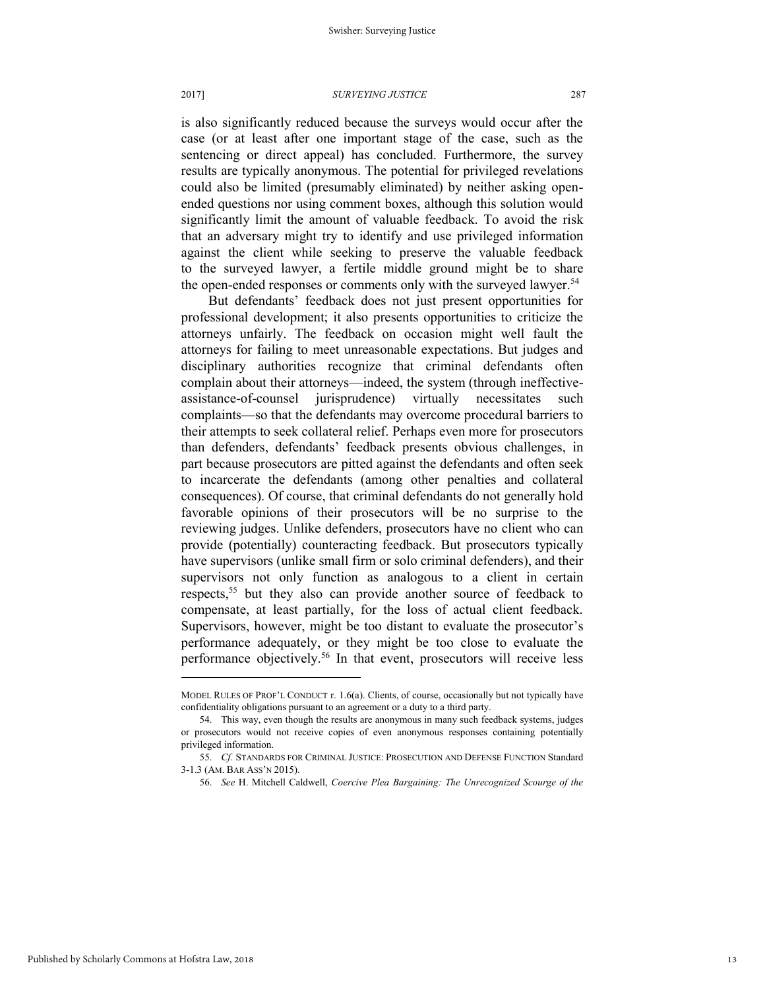is also significantly reduced because the surveys would occur after the case (or at least after one important stage of the case, such as the sentencing or direct appeal) has concluded. Furthermore, the survey results are typically anonymous. The potential for privileged revelations could also be limited (presumably eliminated) by neither asking openended questions nor using comment boxes, although this solution would significantly limit the amount of valuable feedback. To avoid the risk that an adversary might try to identify and use privileged information against the client while seeking to preserve the valuable feedback to the surveyed lawyer, a fertile middle ground might be to share the open-ended responses or comments only with the surveyed lawyer.<sup>54</sup>

But defendants' feedback does not just present opportunities for professional development; it also presents opportunities to criticize the attorneys unfairly. The feedback on occasion might well fault the attorneys for failing to meet unreasonable expectations. But judges and disciplinary authorities recognize that criminal defendants often complain about their attorneys—indeed, the system (through ineffectiveassistance-of-counsel jurisprudence) virtually necessitates such complaints—so that the defendants may overcome procedural barriers to their attempts to seek collateral relief. Perhaps even more for prosecutors than defenders, defendants' feedback presents obvious challenges, in part because prosecutors are pitted against the defendants and often seek to incarcerate the defendants (among other penalties and collateral consequences). Of course, that criminal defendants do not generally hold favorable opinions of their prosecutors will be no surprise to the reviewing judges. Unlike defenders, prosecutors have no client who can provide (potentially) counteracting feedback. But prosecutors typically have supervisors (unlike small firm or solo criminal defenders), and their supervisors not only function as analogous to a client in certain respects,<sup>55</sup> but they also can provide another source of feedback to compensate, at least partially, for the loss of actual client feedback. Supervisors, however, might be too distant to evaluate the prosecutor's performance adequately, or they might be too close to evaluate the performance objectively.<sup>56</sup> In that event, prosecutors will receive less

<span id="page-13-1"></span><span id="page-13-0"></span>MODEL RULES OF PROF'L CONDUCT r. 1.6(a). Clients, of course, occasionally but not typically have confidentiality obligations pursuant to an agreement or a duty to a third party.

<sup>54.</sup> This way, even though the results are anonymous in many such feedback systems, judges or prosecutors would not receive copies of even anonymous responses containing potentially privileged information.

<sup>55.</sup> *Cf.* STANDARDS FOR CRIMINAL JUSTICE: PROSECUTION AND DEFENSE FUNCTION Standard 3-1.3 (AM. BAR ASS'N 2015).

<sup>56.</sup> *See* H. Mitchell Caldwell, *Coercive Plea Bargaining: The Unrecognized Scourge of the*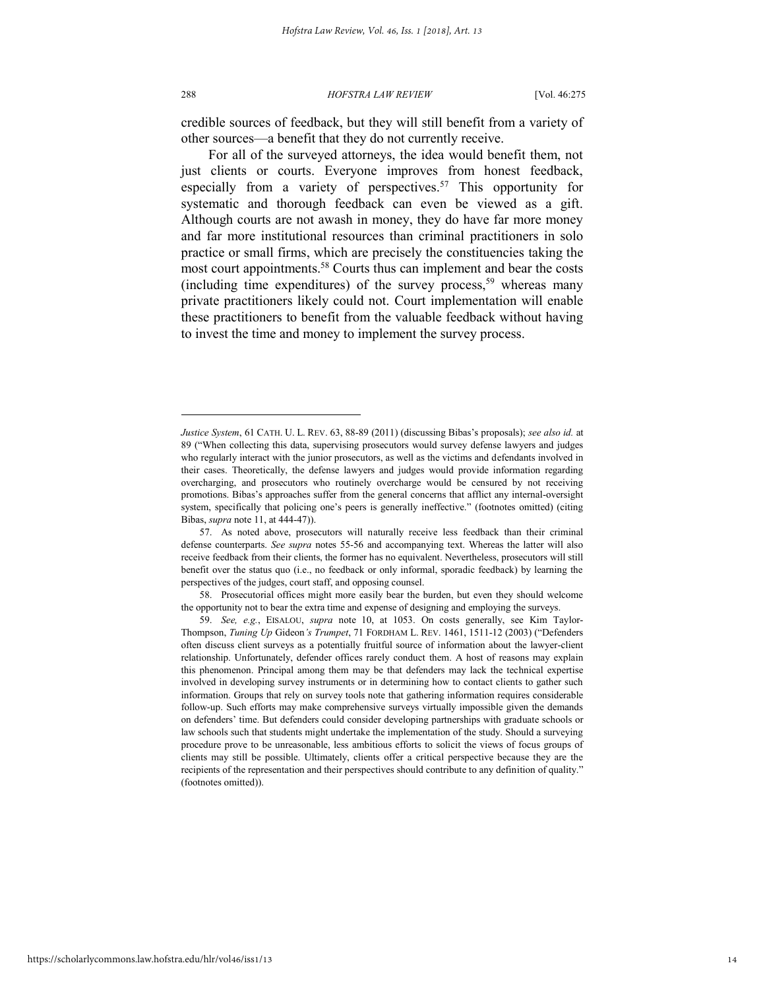credible sources of feedback, but they will still benefit from a variety of other sources—a benefit that they do not currently receive.

For all of the surveyed attorneys, the idea would benefit them, not just clients or courts. Everyone improves from honest feedback, especially from a variety of perspectives.<sup>57</sup> This opportunity for systematic and thorough feedback can even be viewed as a gift. Although courts are not awash in money, they do have far more money and far more institutional resources than criminal practitioners in solo practice or small firms, which are precisely the constituencies taking the most court appointments.<sup>58</sup> Courts thus can implement and bear the costs (including time expenditures) of the survey process,<sup>59</sup> whereas many private practitioners likely could not. Court implementation will enable these practitioners to benefit from the valuable feedback without having to invest the time and money to implement the survey process.

*Justice System*, 61 CATH. U. L. REV. 63, 88-89 (2011) (discussing Bibas's proposals); *see also id.* at 89 ("When collecting this data, supervising prosecutors would survey defense lawyers and judges who regularly interact with the junior prosecutors, as well as the victims and defendants involved in their cases. Theoretically, the defense lawyers and judges would provide information regarding overcharging, and prosecutors who routinely overcharge would be censured by not receiving promotions. Bibas's approaches suffer from the general concerns that afflict any internal-oversight system, specifically that policing one's peers is generally ineffective." (footnotes omitted) (citing Bibas, *supra* not[e 11,](#page-3-2) at 444-47)).

<sup>57.</sup> As noted above, prosecutors will naturally receive less feedback than their criminal defense counterparts. *See supra* notes [55-](#page-13-0)[56](#page-13-1) and accompanying text. Whereas the latter will also receive feedback from their clients, the former has no equivalent. Nevertheless, prosecutors will still benefit over the status quo (i.e., no feedback or only informal, sporadic feedback) by learning the perspectives of the judges, court staff, and opposing counsel.

<sup>58.</sup> Prosecutorial offices might more easily bear the burden, but even they should welcome the opportunity not to bear the extra time and expense of designing and employing the surveys.

<sup>59.</sup> *See, e.g.*, EISALOU, *supra* note [10,](#page-3-1) at 1053. On costs generally, see Kim Taylor-Thompson, *Tuning Up* Gideon*'s Trumpet*, 71 FORDHAM L. REV. 1461, 1511-12 (2003) ("Defenders often discuss client surveys as a potentially fruitful source of information about the lawyer-client relationship. Unfortunately, defender offices rarely conduct them. A host of reasons may explain this phenomenon. Principal among them may be that defenders may lack the technical expertise involved in developing survey instruments or in determining how to contact clients to gather such information. Groups that rely on survey tools note that gathering information requires considerable follow-up. Such efforts may make comprehensive surveys virtually impossible given the demands on defenders' time. But defenders could consider developing partnerships with graduate schools or law schools such that students might undertake the implementation of the study. Should a surveying procedure prove to be unreasonable, less ambitious efforts to solicit the views of focus groups of clients may still be possible. Ultimately, clients offer a critical perspective because they are the recipients of the representation and their perspectives should contribute to any definition of quality." (footnotes omitted)).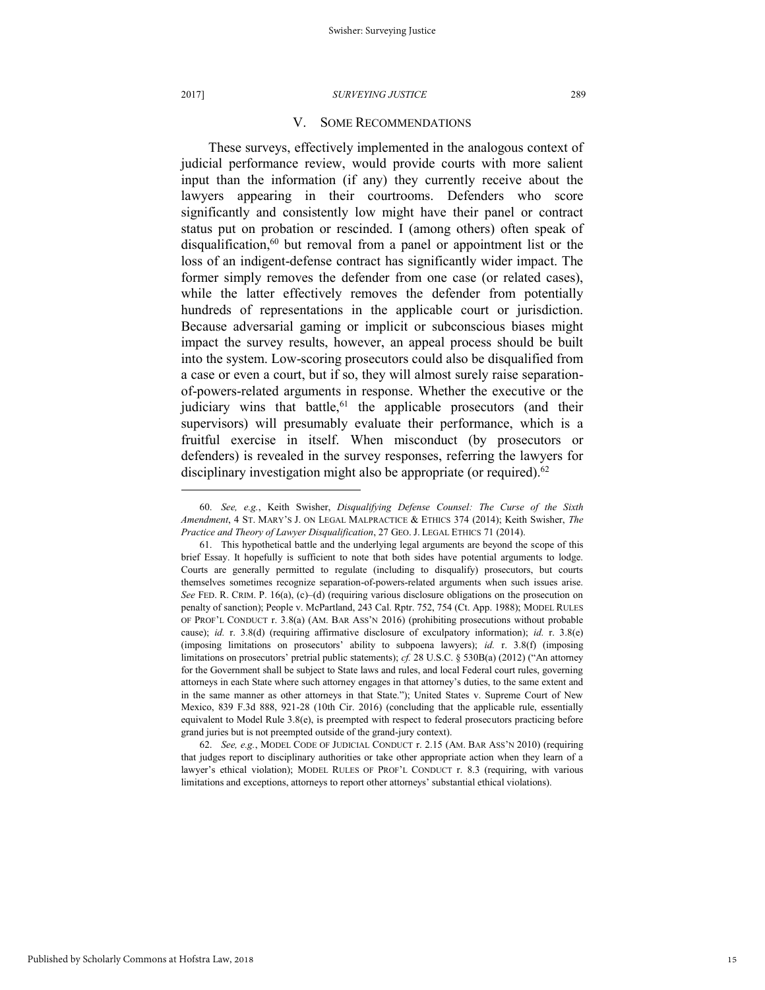#### 2017] *SURVEYING JUSTICE* 289

### V. SOME RECOMMENDATIONS

These surveys, effectively implemented in the analogous context of judicial performance review, would provide courts with more salient input than the information (if any) they currently receive about the lawyers appearing in their courtrooms. Defenders who score significantly and consistently low might have their panel or contract status put on probation or rescinded. I (among others) often speak of disqualification,  $60$  but removal from a panel or appointment list or the loss of an indigent-defense contract has significantly wider impact. The former simply removes the defender from one case (or related cases), while the latter effectively removes the defender from potentially hundreds of representations in the applicable court or jurisdiction. Because adversarial gaming or implicit or subconscious biases might impact the survey results, however, an appeal process should be built into the system. Low-scoring prosecutors could also be disqualified from a case or even a court, but if so, they will almost surely raise separationof-powers-related arguments in response. Whether the executive or the judiciary wins that battle, $61$  the applicable prosecutors (and their supervisors) will presumably evaluate their performance, which is a fruitful exercise in itself. When misconduct (by prosecutors or defenders) is revealed in the survey responses, referring the lawyers for disciplinary investigation might also be appropriate (or required).<sup>62</sup>

62. *See, e.g.*, MODEL CODE OF JUDICIAL CONDUCT r. 2.15 (AM. BAR ASS'N 2010) (requiring that judges report to disciplinary authorities or take other appropriate action when they learn of a lawyer's ethical violation); MODEL RULES OF PROF'L CONDUCT r. 8.3 (requiring, with various limitations and exceptions, attorneys to report other attorneys' substantial ethical violations).

<sup>60.</sup> *See, e.g.*, Keith Swisher, *Disqualifying Defense Counsel: The Curse of the Sixth Amendment*, 4 ST. MARY'S J. ON LEGAL MALPRACTICE & ETHICS 374 (2014); Keith Swisher, *The Practice and Theory of Lawyer Disqualification*, 27 GEO. J. LEGAL ETHICS 71 (2014).

<sup>61.</sup> This hypothetical battle and the underlying legal arguments are beyond the scope of this brief Essay. It hopefully is sufficient to note that both sides have potential arguments to lodge. Courts are generally permitted to regulate (including to disqualify) prosecutors, but courts themselves sometimes recognize separation-of-powers-related arguments when such issues arise. *See* FED. R. CRIM. P. 16(a), (c)–(d) (requiring various disclosure obligations on the prosecution on penalty of sanction); People v. McPartland, 243 Cal. Rptr. 752, 754 (Ct. App. 1988); MODEL RULES OF PROF'L CONDUCT r. 3.8(a) (AM. BAR ASS'N 2016) (prohibiting prosecutions without probable cause); *id.* r. 3.8(d) (requiring affirmative disclosure of exculpatory information); *id.* r. 3.8(e) (imposing limitations on prosecutors' ability to subpoena lawyers); *id.* r. 3.8(f) (imposing limitations on prosecutors' pretrial public statements); *cf.* 28 U.S.C. § 530B(a) (2012) ("An attorney for the Government shall be subject to State laws and rules, and local Federal court rules, governing attorneys in each State where such attorney engages in that attorney's duties, to the same extent and in the same manner as other attorneys in that State."); United States v. Supreme Court of New Mexico, 839 F.3d 888, 921-28 (10th Cir. 2016) (concluding that the applicable rule, essentially equivalent to Model Rule 3.8(e), is preempted with respect to federal prosecutors practicing before grand juries but is not preempted outside of the grand-jury context).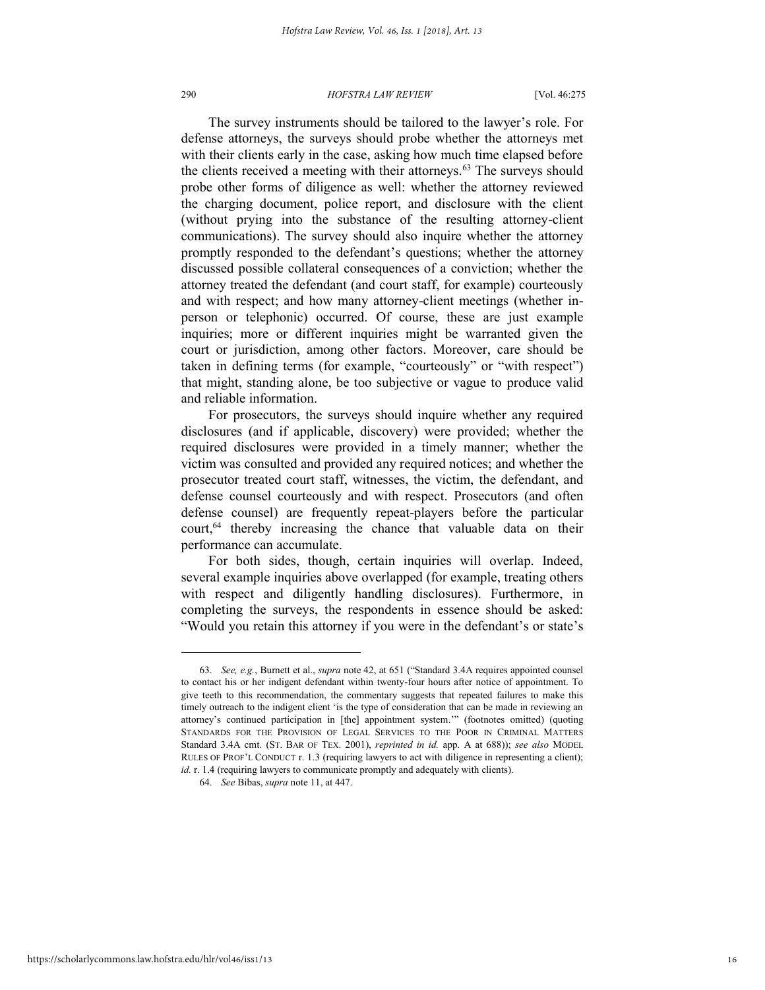#### 290 *HOFSTRA LAW REVIEW* [Vol. 46:275

The survey instruments should be tailored to the lawyer's role. For defense attorneys, the surveys should probe whether the attorneys met with their clients early in the case, asking how much time elapsed before the clients received a meeting with their attorneys.<sup>63</sup> The surveys should probe other forms of diligence as well: whether the attorney reviewed the charging document, police report, and disclosure with the client (without prying into the substance of the resulting attorney-client communications). The survey should also inquire whether the attorney promptly responded to the defendant's questions; whether the attorney discussed possible collateral consequences of a conviction; whether the attorney treated the defendant (and court staff, for example) courteously and with respect; and how many attorney-client meetings (whether inperson or telephonic) occurred. Of course, these are just example inquiries; more or different inquiries might be warranted given the court or jurisdiction, among other factors. Moreover, care should be taken in defining terms (for example, "courteously" or "with respect") that might, standing alone, be too subjective or vague to produce valid and reliable information.

For prosecutors, the surveys should inquire whether any required disclosures (and if applicable, discovery) were provided; whether the required disclosures were provided in a timely manner; whether the victim was consulted and provided any required notices; and whether the prosecutor treated court staff, witnesses, the victim, the defendant, and defense counsel courteously and with respect. Prosecutors (and often defense counsel) are frequently repeat-players before the particular court,<sup>64</sup> thereby increasing the chance that valuable data on their performance can accumulate.

For both sides, though, certain inquiries will overlap. Indeed, several example inquiries above overlapped (for example, treating others with respect and diligently handling disclosures). Furthermore, in completing the surveys, the respondents in essence should be asked: "Would you retain this attorney if you were in the defendant's or state's

<sup>63.</sup> *See, e.g.*, Burnett et al., *supra* not[e 42](#page-9-0), at 651 ("Standard 3.4A requires appointed counsel to contact his or her indigent defendant within twenty-four hours after notice of appointment. To give teeth to this recommendation, the commentary suggests that repeated failures to make this timely outreach to the indigent client 'is the type of consideration that can be made in reviewing an attorney's continued participation in [the] appointment system.'" (footnotes omitted) (quoting STANDARDS FOR THE PROVISION OF LEGAL SERVICES TO THE POOR IN CRIMINAL MATTERS Standard 3.4A cmt. (ST. BAR OF TEX. 2001), *reprinted in id.* app. A at 688)); *see also* MODEL RULES OF PROF'L CONDUCT r. 1.3 (requiring lawyers to act with diligence in representing a client); *id.* r. 1.4 (requiring lawyers to communicate promptly and adequately with clients).

<sup>64.</sup> *See* Bibas, *supra* not[e 11,](#page-3-2) at 447.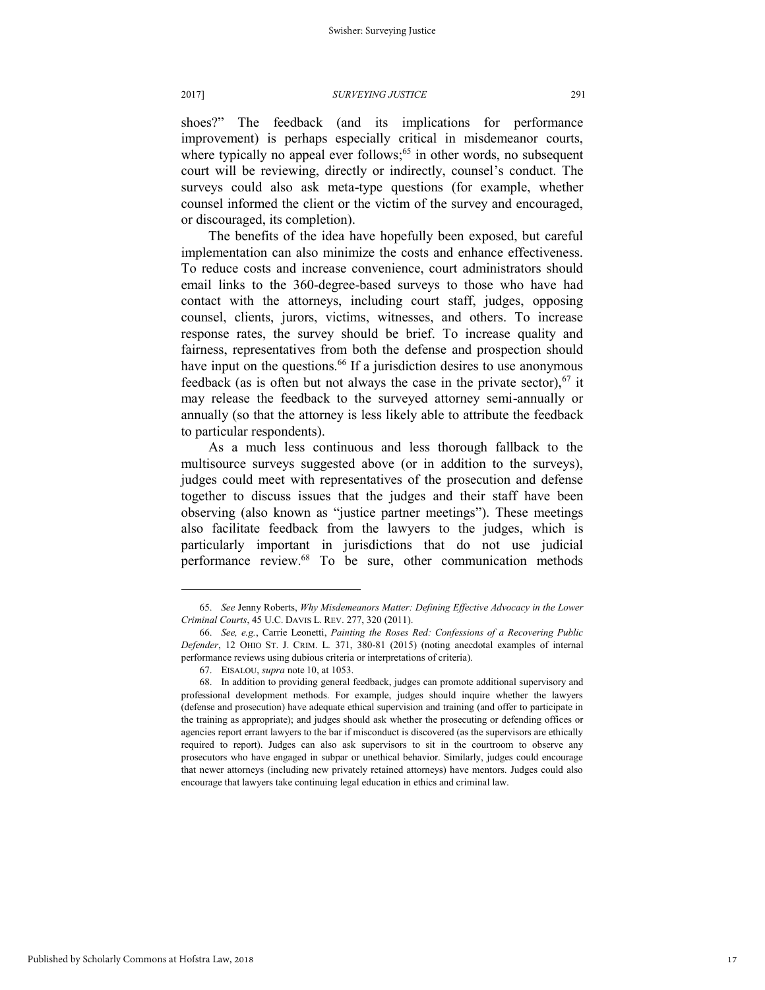shoes?" The feedback (and its implications for performance improvement) is perhaps especially critical in misdemeanor courts, where typically no appeal ever follows; $65$  in other words, no subsequent court will be reviewing, directly or indirectly, counsel's conduct. The surveys could also ask meta-type questions (for example, whether counsel informed the client or the victim of the survey and encouraged, or discouraged, its completion).

The benefits of the idea have hopefully been exposed, but careful implementation can also minimize the costs and enhance effectiveness. To reduce costs and increase convenience, court administrators should email links to the 360-degree-based surveys to those who have had contact with the attorneys, including court staff, judges, opposing counsel, clients, jurors, victims, witnesses, and others. To increase response rates, the survey should be brief. To increase quality and fairness, representatives from both the defense and prospection should have input on the questions.<sup>66</sup> If a jurisdiction desires to use anonymous feedback (as is often but not always the case in the private sector),  $67$  it may release the feedback to the surveyed attorney semi-annually or annually (so that the attorney is less likely able to attribute the feedback to particular respondents).

As a much less continuous and less thorough fallback to the multisource surveys suggested above (or in addition to the surveys), judges could meet with representatives of the prosecution and defense together to discuss issues that the judges and their staff have been observing (also known as "justice partner meetings"). These meetings also facilitate feedback from the lawyers to the judges, which is particularly important in jurisdictions that do not use judicial performance review.<sup>68</sup> To be sure, other communication methods

<sup>65.</sup> *See* Jenny Roberts, *Why Misdemeanors Matter: Defining Effective Advocacy in the Lower Criminal Courts*, 45 U.C. DAVIS L. REV. 277, 320 (2011).

<sup>66.</sup> *See, e.g.*, Carrie Leonetti, *Painting the Roses Red: Confessions of a Recovering Public Defender*, 12 OHIO ST. J. CRIM. L. 371, 380-81 (2015) (noting anecdotal examples of internal performance reviews using dubious criteria or interpretations of criteria).

<sup>67.</sup> EISALOU, *supra* note [10,](#page-3-1) at 1053.

<sup>68.</sup> In addition to providing general feedback, judges can promote additional supervisory and professional development methods. For example, judges should inquire whether the lawyers (defense and prosecution) have adequate ethical supervision and training (and offer to participate in the training as appropriate); and judges should ask whether the prosecuting or defending offices or agencies report errant lawyers to the bar if misconduct is discovered (as the supervisors are ethically required to report). Judges can also ask supervisors to sit in the courtroom to observe any prosecutors who have engaged in subpar or unethical behavior. Similarly, judges could encourage that newer attorneys (including new privately retained attorneys) have mentors. Judges could also encourage that lawyers take continuing legal education in ethics and criminal law.